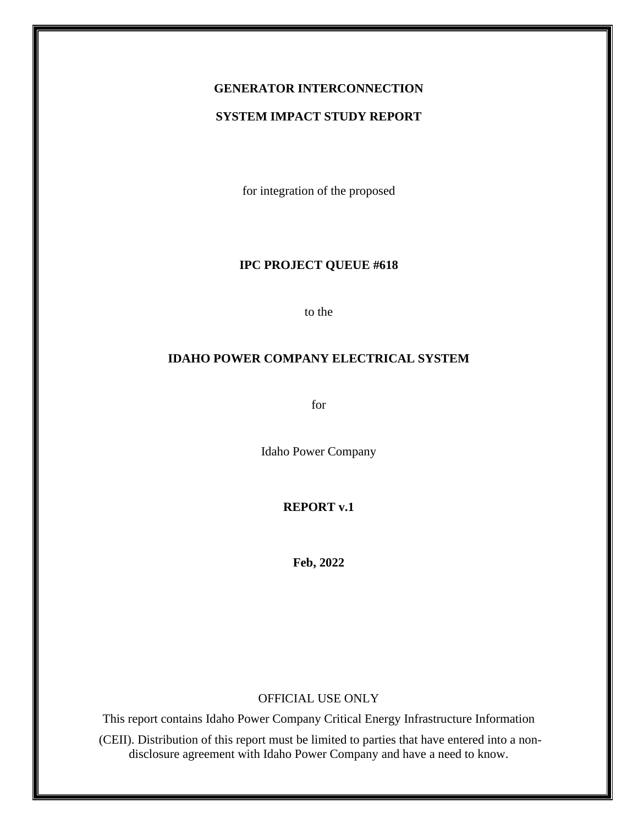# **GENERATOR INTERCONNECTION**

#### **SYSTEM IMPACT STUDY REPORT**

for integration of the proposed

## **IPC PROJECT QUEUE #618**

to the

#### **IDAHO POWER COMPANY ELECTRICAL SYSTEM**

for

Idaho Power Company

#### **REPORT v.1**

**Feb, 2022**

#### OFFICIAL USE ONLY

This report contains Idaho Power Company Critical Energy Infrastructure Information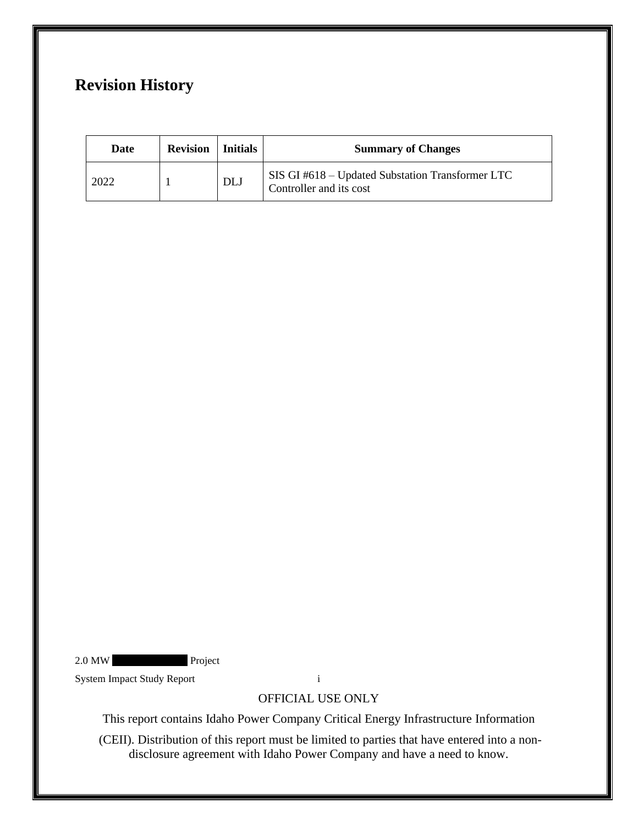# **Revision History**

| Date | <b>Revision</b>   Initials |            | <b>Summary of Changes</b>                                                   |
|------|----------------------------|------------|-----------------------------------------------------------------------------|
| 2022 |                            | <b>DLJ</b> | SIS GI #618 – Updated Substation Transformer LTC<br>Controller and its cost |

2.0 MW Project

System Impact Study Report i

OFFICIAL USE ONLY

This report contains Idaho Power Company Critical Energy Infrastructure Information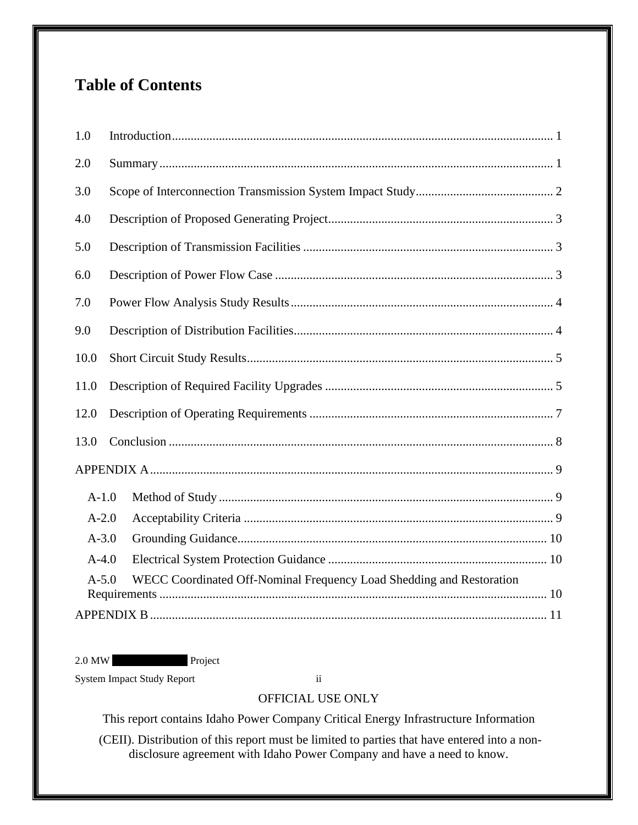# **Table of Contents**

| 1.0                                                                             |  |  |  |  |
|---------------------------------------------------------------------------------|--|--|--|--|
| 2.0                                                                             |  |  |  |  |
| 3.0                                                                             |  |  |  |  |
| 4.0                                                                             |  |  |  |  |
| 5.0                                                                             |  |  |  |  |
| 6.0                                                                             |  |  |  |  |
| 7.0                                                                             |  |  |  |  |
| 9.0                                                                             |  |  |  |  |
| 10.0                                                                            |  |  |  |  |
| 11.0                                                                            |  |  |  |  |
| 12.0                                                                            |  |  |  |  |
| 13.0                                                                            |  |  |  |  |
|                                                                                 |  |  |  |  |
| $A-1.0$                                                                         |  |  |  |  |
| $A-2.0$                                                                         |  |  |  |  |
| $A - 3.0$                                                                       |  |  |  |  |
| $A-4.0$                                                                         |  |  |  |  |
| WECC Coordinated Off-Nominal Frequency Load Shedding and Restoration<br>$A-5.0$ |  |  |  |  |
|                                                                                 |  |  |  |  |

2.0 MW Project

System Impact Study Report ii

# OFFICIAL USE ONLY

This report contains Idaho Power Company Critical Energy Infrastructure Information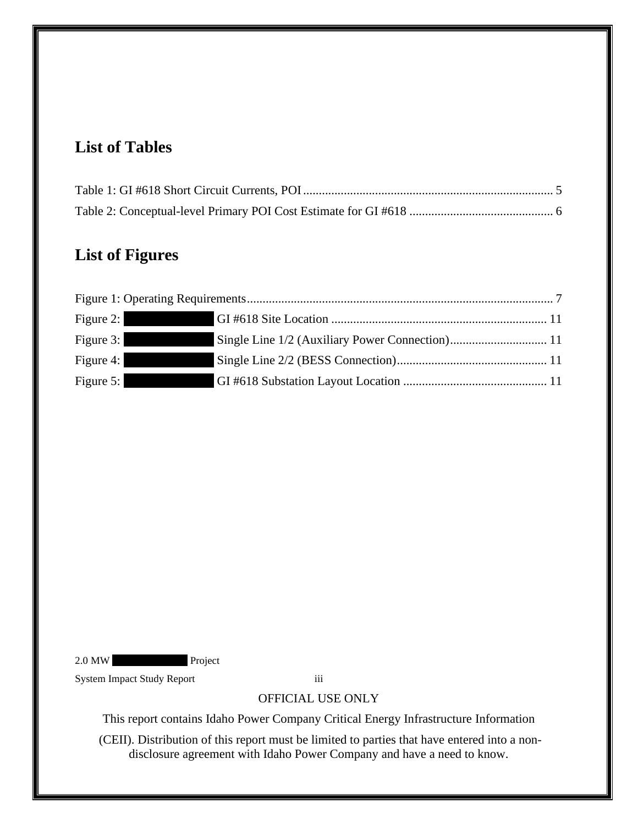# **List of Tables**

# **List of Figures**

| Figure 2:                                  |  |  |  |  |
|--------------------------------------------|--|--|--|--|
| Figure 3:<br><u> Andrew Maria Sirika A</u> |  |  |  |  |
| Figure 4:                                  |  |  |  |  |
| Figure 5:                                  |  |  |  |  |

2.0 MW Project

System Impact Study Report iii

# OFFICIAL USE ONLY

This report contains Idaho Power Company Critical Energy Infrastructure Information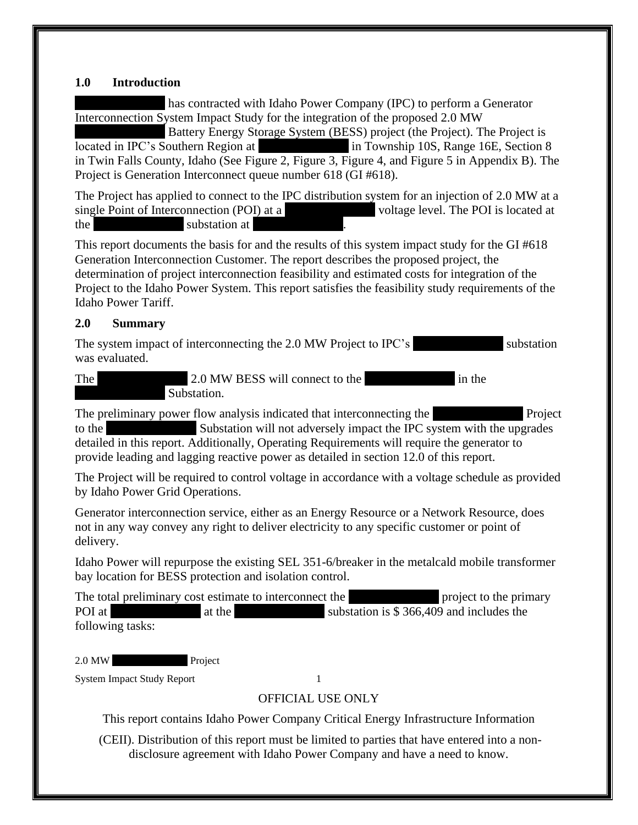#### <span id="page-4-0"></span>**1.0 Introduction**

has contracted with Idaho Power Company (IPC) to perform a Generator Interconnection System Impact Study for the integration of the proposed 2.0 MW Battery Energy Storage System (BESS) project (the Project). The Project is located in IPC's Southern Region at  $\qquad \qquad$  in Township 10S, Range 16E, Section 8 in Twin Falls County, Idaho (See [Figure 2,](#page-14-1) [Figure 3,](#page-14-2) [Figure 4,](#page-14-3) and [Figure 5](#page-14-4) in Appendix B). The Project is Generation Interconnect queue number 618 (GI #618).

The Project has applied to connect to the IPC distribution system for an injection of 2.0 MW at a single Point of Interconnection (POI) at a voltage level. The POI is located at the substation at XXX

This report documents the basis for and the results of this system impact study for the GI #618 Generation Interconnection Customer. The report describes the proposed project, the determination of project interconnection feasibility and estimated costs for integration of the Project to the Idaho Power System. This report satisfies the feasibility study requirements of the Idaho Power Tariff.

### <span id="page-4-1"></span>**2.0 Summary**

The system impact of interconnecting the 2.0 MW Project to IPC's substation was evaluated.

The 2.0 MW BESS will connect to the  $\overline{X}$  in the Substation.

The preliminary power flow analysis indicated that interconnecting the Project to the Substation will not adversely impact the IPC system with the upgrades detailed in this report. Additionally, Operating Requirements will require the generator to provide leading and lagging reactive power as detailed in section 12.0 of this report.

The Project will be required to control voltage in accordance with a voltage schedule as provided by Idaho Power Grid Operations.

Generator interconnection service, either as an Energy Resource or a Network Resource, does not in any way convey any right to deliver electricity to any specific customer or point of delivery.

Idaho Power will repurpose the existing SEL 351-6/breaker in the metalcald mobile transformer bay location for BESS protection and isolation control.

The total preliminary cost estimate to interconnect the XXX project to the primary POI at XXXXXX at the XXXXXXXXX substation is \$ 366,409 and includes the following tasks:

2.0 MW Project

System Impact Study Report 1

## OFFICIAL USE ONLY

This report contains Idaho Power Company Critical Energy Infrastructure Information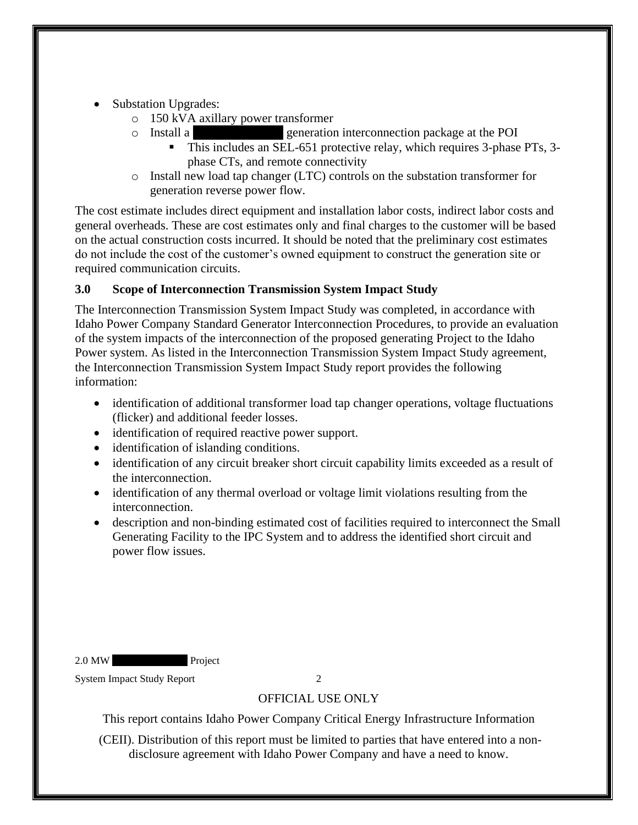- Substation Upgrades:
	- o 150 kVA axillary power transformer
	- o Install a XXX generation interconnection package at the POI
		- This includes an SEL-651 protective relay, which requires 3-phase PTs, 3 phase CTs, and remote connectivity
	- o Install new load tap changer (LTC) controls on the substation transformer for generation reverse power flow.

The cost estimate includes direct equipment and installation labor costs, indirect labor costs and general overheads. These are cost estimates only and final charges to the customer will be based on the actual construction costs incurred. It should be noted that the preliminary cost estimates do not include the cost of the customer's owned equipment to construct the generation site or required communication circuits.

## <span id="page-5-0"></span>**3.0 Scope of Interconnection Transmission System Impact Study**

The Interconnection Transmission System Impact Study was completed, in accordance with Idaho Power Company Standard Generator Interconnection Procedures, to provide an evaluation of the system impacts of the interconnection of the proposed generating Project to the Idaho Power system. As listed in the Interconnection Transmission System Impact Study agreement, the Interconnection Transmission System Impact Study report provides the following information:

- identification of additional transformer load tap changer operations, voltage fluctuations (flicker) and additional feeder losses.
- identification of required reactive power support.
- identification of islanding conditions.
- identification of any circuit breaker short circuit capability limits exceeded as a result of the interconnection.
- identification of any thermal overload or voltage limit violations resulting from the interconnection.
- description and non-binding estimated cost of facilities required to interconnect the Small Generating Facility to the IPC System and to address the identified short circuit and power flow issues.

2.0 MW Project

System Impact Study Report 2

OFFICIAL USE ONLY

This report contains Idaho Power Company Critical Energy Infrastructure Information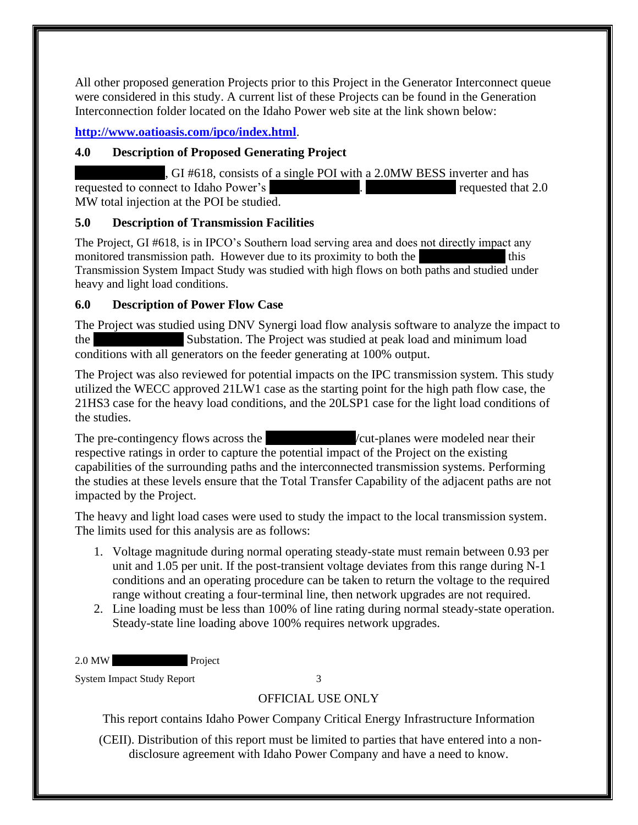All other proposed generation Projects prior to this Project in the Generator Interconnect queue were considered in this study. A current list of these Projects can be found in the Generation Interconnection folder located on the Idaho Power web site at the link shown below:

**<http://www.oatioasis.com/ipco/index.html>**.

# <span id="page-6-0"></span>**4.0 Description of Proposed Generating Project**

, GI #618, consists of a single POI with a 2.0MW BESS inverter and has requested to connect to Idaho Power's 2008. The connection of the Intervention of the Tequested that 2.0 MW total injection at the POI be studied.

## <span id="page-6-1"></span>**5.0 Description of Transmission Facilities**

The Project, GI #618, is in IPCO's Southern load serving area and does not directly impact any monitored transmission path. However due to its proximity to both the  $\sim$  this Transmission System Impact Study was studied with high flows on both paths and studied under heavy and light load conditions.

# <span id="page-6-2"></span>**6.0 Description of Power Flow Case**

The Project was studied using DNV Synergi load flow analysis software to analyze the impact to the Substation. The Project was studied at peak load and minimum load conditions with all generators on the feeder generating at 100% output.

The Project was also reviewed for potential impacts on the IPC transmission system. This study utilized the WECC approved 21LW1 case as the starting point for the high path flow case, the 21HS3 case for the heavy load conditions, and the 20LSP1 case for the light load conditions of the studies.

The pre-contingency flows across the  $\overline{\phantom{a}}$   $\overline{\phantom{a}}$   $\overline{\phantom{a}}$  across the  $\overline{\phantom{a}}$ respective ratings in order to capture the potential impact of the Project on the existing capabilities of the surrounding paths and the interconnected transmission systems. Performing the studies at these levels ensure that the Total Transfer Capability of the adjacent paths are not impacted by the Project.

The heavy and light load cases were used to study the impact to the local transmission system. The limits used for this analysis are as follows:

- 1. Voltage magnitude during normal operating steady-state must remain between 0.93 per unit and 1.05 per unit. If the post-transient voltage deviates from this range during N-1 conditions and an operating procedure can be taken to return the voltage to the required range without creating a four-terminal line, then network upgrades are not required.
- 2. Line loading must be less than 100% of line rating during normal steady-state operation. Steady-state line loading above 100% requires network upgrades.

2.0 MW Project

System Impact Study Report 3

# OFFICIAL USE ONLY

This report contains Idaho Power Company Critical Energy Infrastructure Information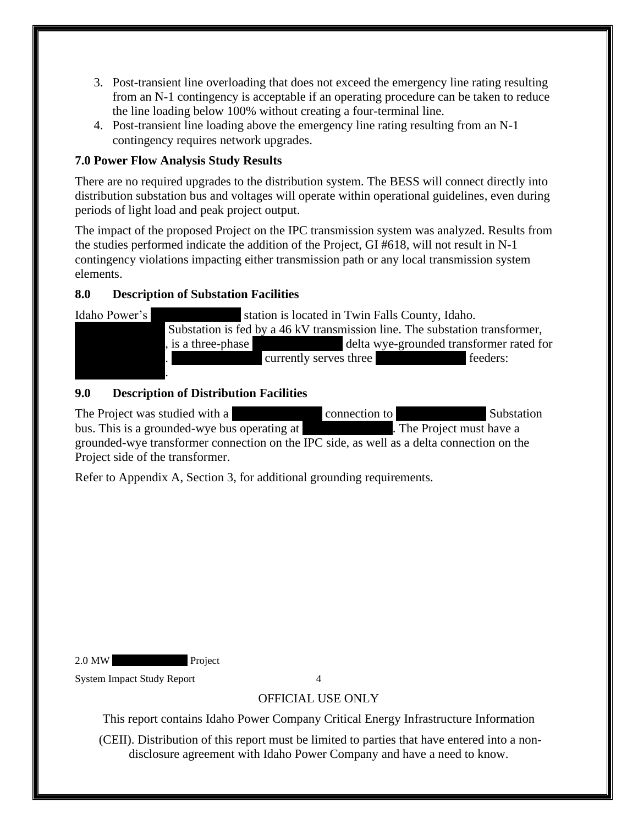- 3. Post-transient line overloading that does not exceed the emergency line rating resulting from an N-1 contingency is acceptable if an operating procedure can be taken to reduce the line loading below 100% without creating a four-terminal line.
- 4. Post-transient line loading above the emergency line rating resulting from an N-1 contingency requires network upgrades.

# <span id="page-7-0"></span>**7.0 Power Flow Analysis Study Results**

There are no required upgrades to the distribution system. The BESS will connect directly into distribution substation bus and voltages will operate within operational guidelines, even during periods of light load and peak project output.

The impact of the proposed Project on the IPC transmission system was analyzed. Results from the studies performed indicate the addition of the Project, GI #618, will not result in N-1 contingency violations impacting either transmission path or any local transmission system elements.

# **8.0 Description of Substation Facilities**

Idaho Power's Station is located in Twin Falls County, Idaho. Substation is fed by a  $46$  kV transmission line. The substation transformer, is a three-phase  $\qquad \qquad$  delta wye-grounded transformer rated for XXXXXXXXXX. XXXXXXXXXX currently serves three XXXXXXXXXX feeders:  $\mathbf{X}$ 

# <span id="page-7-1"></span>**9.0 Description of Distribution Facilities**

The Project was studied with a XXXXXX connection to XXXX Substation Substation bus. This is a grounded-wye bus operating at The Project must have a grounded-wye transformer connection on the IPC side, as well as a delta connection on the Project side of the transformer.

Refer to Appendix A, Section 3, for additional grounding requirements.

2.0 MW Project

System Impact Study Report 4

# OFFICIAL USE ONLY

This report contains Idaho Power Company Critical Energy Infrastructure Information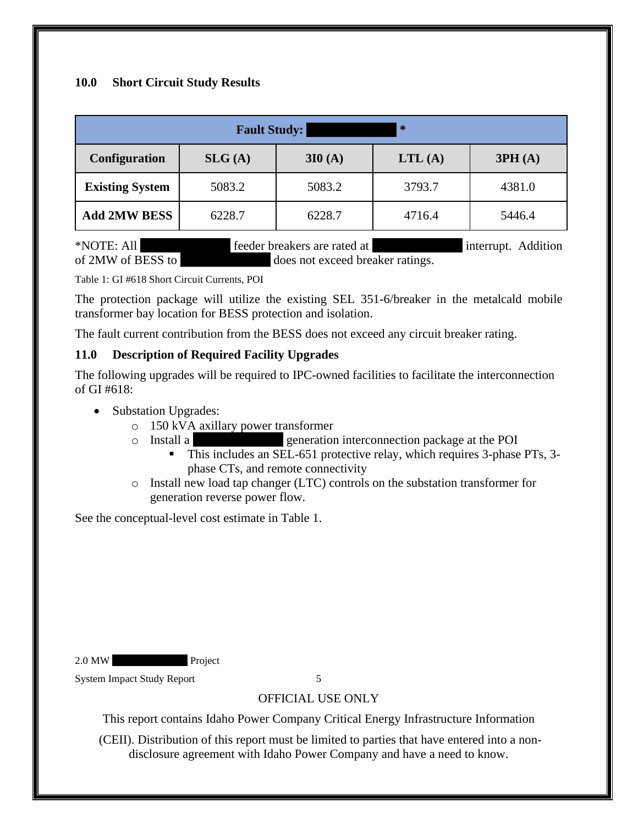## <span id="page-8-0"></span>**10.0 Short Circuit Study Results**

| $\ast$<br><b>Fault Study:</b> |        |        |        |        |  |  |  |
|-------------------------------|--------|--------|--------|--------|--|--|--|
| Configuration                 | SLG(A) | 3I0(A) | LTL(A) | 3PH(A) |  |  |  |
| <b>Existing System</b>        | 5083.2 | 5083.2 | 3793.7 | 4381.0 |  |  |  |
| <b>Add 2MW BESS</b>           | 6228.7 | 6228.7 | 4716.4 | 5446.4 |  |  |  |

\*NOTE: All feeder breakers are rated at interrupt. Addition of 2MW of BESS to does not exceed breaker ratings.

<span id="page-8-2"></span>Table 1: GI #618 Short Circuit Currents, POI

The protection package will utilize the existing SEL 351-6/breaker in the metalcald mobile transformer bay location for BESS protection and isolation.

The fault current contribution from the BESS does not exceed any circuit breaker rating.

### <span id="page-8-1"></span>**11.0 Description of Required Facility Upgrades**

The following upgrades will be required to IPC-owned facilities to facilitate the interconnection of GI #618:

- Substation Upgrades:
	- o 150 kVA axillary power transformer
	- o Install a XXX generation interconnection package at the POI
		- This includes an SEL-651 protective relay, which requires 3-phase PTs, 3 phase CTs, and remote connectivity
	- o Install new load tap changer (LTC) controls on the substation transformer for generation reverse power flow.

See the conceptual-level cost estimate in Table 1.

2.0 MW Project

System Impact Study Report 5

OFFICIAL USE ONLY

This report contains Idaho Power Company Critical Energy Infrastructure Information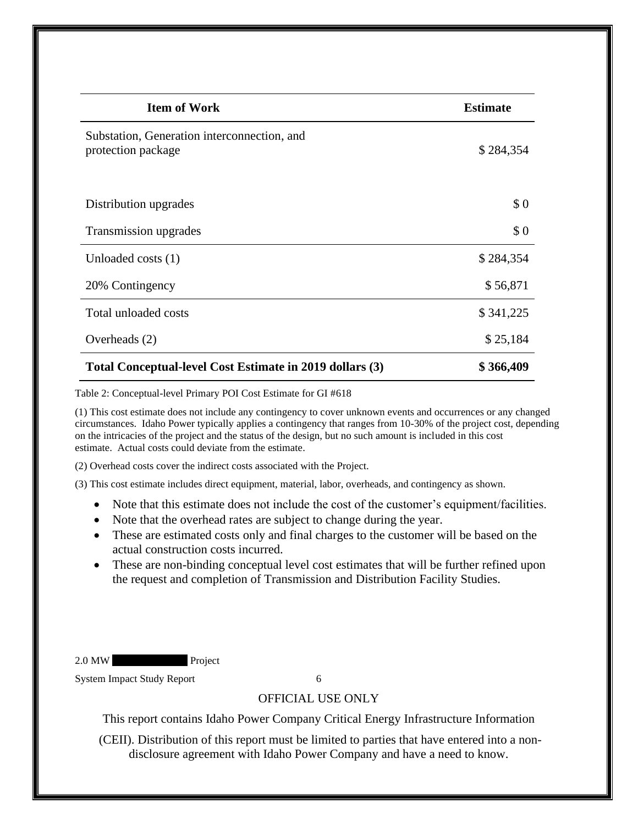| <b>Item of Work</b>                                               | <b>Estimate</b> |
|-------------------------------------------------------------------|-----------------|
| Substation, Generation interconnection, and<br>protection package | \$284,354       |
| Distribution upgrades                                             | \$0             |
| Transmission upgrades                                             | \$0             |
| Unloaded costs $(1)$                                              | \$284,354       |
| 20% Contingency                                                   | \$56,871        |
| Total unloaded costs                                              | \$341,225       |
| Overheads (2)                                                     | \$25,184        |
| Total Conceptual-level Cost Estimate in 2019 dollars (3)          | \$366,409       |

<span id="page-9-0"></span>Table 2: Conceptual-level Primary POI Cost Estimate for GI #618

(1) This cost estimate does not include any contingency to cover unknown events and occurrences or any changed circumstances. Idaho Power typically applies a contingency that ranges from 10-30% of the project cost, depending on the intricacies of the project and the status of the design, but no such amount is included in this cost estimate. Actual costs could deviate from the estimate.

(2) Overhead costs cover the indirect costs associated with the Project.

(3) This cost estimate includes direct equipment, material, labor, overheads, and contingency as shown.

- Note that this estimate does not include the cost of the customer's equipment/facilities.
- Note that the overhead rates are subject to change during the year.
- These are estimated costs only and final charges to the customer will be based on the actual construction costs incurred.
- These are non-binding conceptual level cost estimates that will be further refined upon the request and completion of Transmission and Distribution Facility Studies.

2.0 MW Project

System Impact Study Report 6

#### OFFICIAL USE ONLY

This report contains Idaho Power Company Critical Energy Infrastructure Information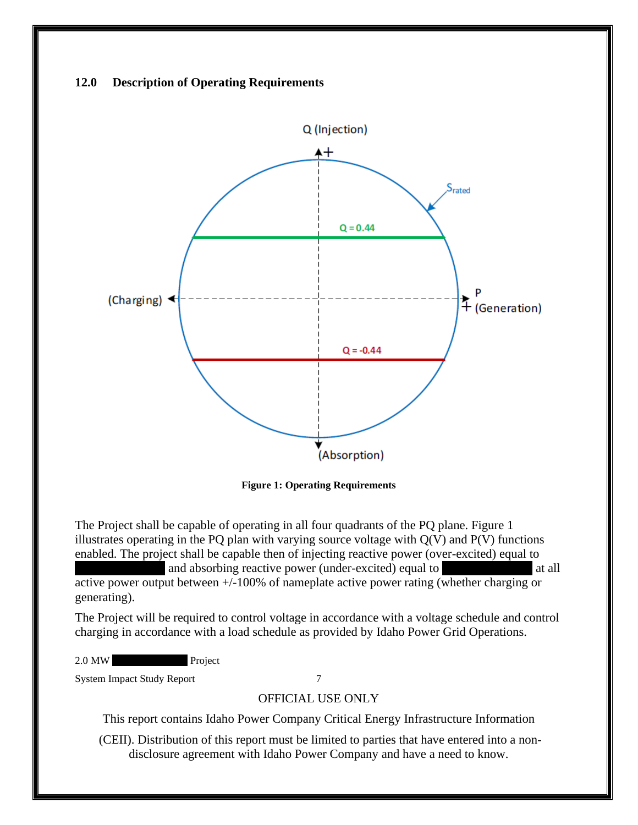## <span id="page-10-0"></span>**12.0 Description of Operating Requirements**



**Figure 1: Operating Requirements**

<span id="page-10-1"></span>The Project shall be capable of operating in all four quadrants of the PQ plane. Figure 1 illustrates operating in the PQ plan with varying source voltage with  $Q(V)$  and  $P(V)$  functions enabled. The project shall be capable then of injecting reactive power (over-excited) equal to

and absorbing reactive power (under-excited) equal to  $\alpha$  at all active power output between +/-100% of nameplate active power rating (whether charging or generating).

The Project will be required to control voltage in accordance with a voltage schedule and control charging in accordance with a load schedule as provided by Idaho Power Grid Operations.

2.0 MW Project

System Impact Study Report 7

#### OFFICIAL USE ONLY

This report contains Idaho Power Company Critical Energy Infrastructure Information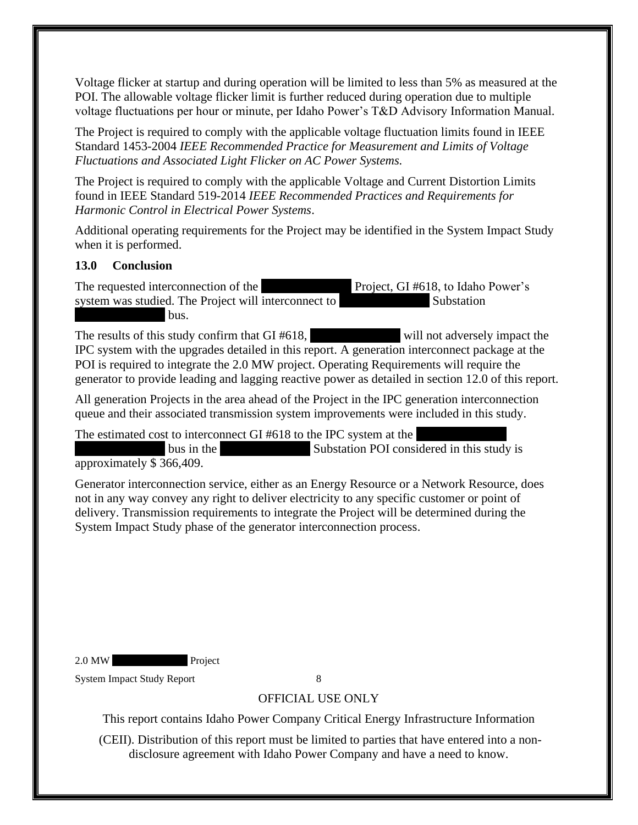Voltage flicker at startup and during operation will be limited to less than 5% as measured at the POI. The allowable voltage flicker limit is further reduced during operation due to multiple voltage fluctuations per hour or minute, per Idaho Power's T&D Advisory Information Manual.

The Project is required to comply with the applicable voltage fluctuation limits found in IEEE Standard 1453-2004 *IEEE Recommended Practice for Measurement and Limits of Voltage Fluctuations and Associated Light Flicker on AC Power Systems.* 

The Project is required to comply with the applicable Voltage and Current Distortion Limits found in IEEE Standard 519-2014 *IEEE Recommended Practices and Requirements for Harmonic Control in Electrical Power Systems*.

Additional operating requirements for the Project may be identified in the System Impact Study when it is performed.

### <span id="page-11-0"></span>**13.0 Conclusion**

The requested interconnection of the XXXXX Project, GI #618, to Idaho Power's system was studied. The Project will interconnect to Substation bus.

The results of this study confirm that  $GI \#618$ , will not adversely impact the IPC system with the upgrades detailed in this report. A generation interconnect package at the POI is required to integrate the 2.0 MW project. Operating Requirements will require the generator to provide leading and lagging reactive power as detailed in section 12.0 of this report.

All generation Projects in the area ahead of the Project in the IPC generation interconnection queue and their associated transmission system improvements were included in this study.

The estimated cost to interconnect GI  $#618$  to the IPC system at the bus in the Substation POI considered in this study is approximately \$ 366,409.

Generator interconnection service, either as an Energy Resource or a Network Resource, does not in any way convey any right to deliver electricity to any specific customer or point of delivery. Transmission requirements to integrate the Project will be determined during the System Impact Study phase of the generator interconnection process.

2.0 MW Project

System Impact Study Report 8

OFFICIAL USE ONLY

This report contains Idaho Power Company Critical Energy Infrastructure Information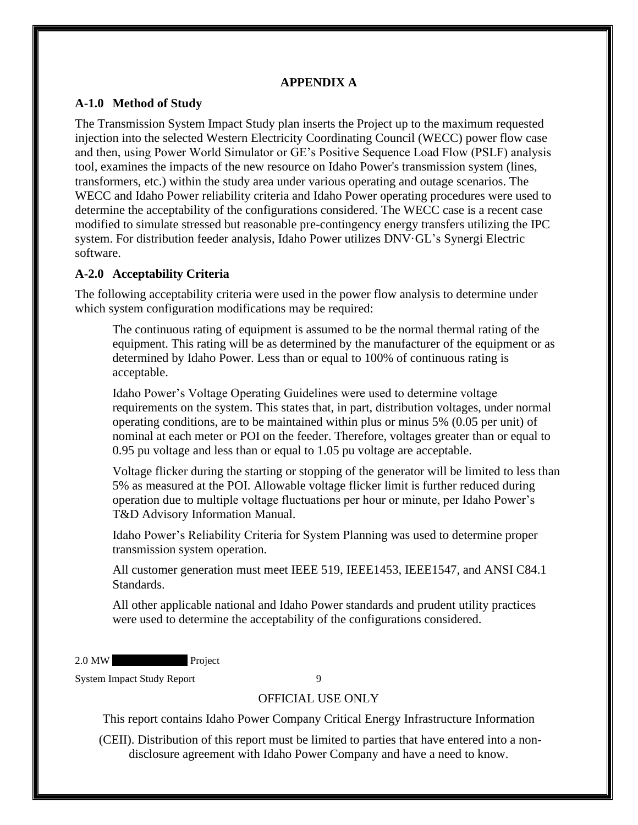## **APPENDIX A**

## <span id="page-12-1"></span><span id="page-12-0"></span>**A-1.0 Method of Study**

The Transmission System Impact Study plan inserts the Project up to the maximum requested injection into the selected Western Electricity Coordinating Council (WECC) power flow case and then, using Power World Simulator or GE's Positive Sequence Load Flow (PSLF) analysis tool, examines the impacts of the new resource on Idaho Power's transmission system (lines, transformers, etc.) within the study area under various operating and outage scenarios. The WECC and Idaho Power reliability criteria and Idaho Power operating procedures were used to determine the acceptability of the configurations considered. The WECC case is a recent case modified to simulate stressed but reasonable pre-contingency energy transfers utilizing the IPC system. For distribution feeder analysis, Idaho Power utilizes DNV·GL's Synergi Electric software.

### <span id="page-12-2"></span>**A-2.0 Acceptability Criteria**

The following acceptability criteria were used in the power flow analysis to determine under which system configuration modifications may be required:

The continuous rating of equipment is assumed to be the normal thermal rating of the equipment. This rating will be as determined by the manufacturer of the equipment or as determined by Idaho Power. Less than or equal to 100% of continuous rating is acceptable.

Idaho Power's Voltage Operating Guidelines were used to determine voltage requirements on the system. This states that, in part, distribution voltages, under normal operating conditions, are to be maintained within plus or minus 5% (0.05 per unit) of nominal at each meter or POI on the feeder. Therefore, voltages greater than or equal to 0.95 pu voltage and less than or equal to 1.05 pu voltage are acceptable.

Voltage flicker during the starting or stopping of the generator will be limited to less than 5% as measured at the POI. Allowable voltage flicker limit is further reduced during operation due to multiple voltage fluctuations per hour or minute, per Idaho Power's T&D Advisory Information Manual.

Idaho Power's Reliability Criteria for System Planning was used to determine proper transmission system operation.

All customer generation must meet IEEE 519, IEEE1453, IEEE1547, and ANSI C84.1 Standards.

All other applicable national and Idaho Power standards and prudent utility practices were used to determine the acceptability of the configurations considered.

2.0 MW Project

System Impact Study Report 9

## OFFICIAL USE ONLY

This report contains Idaho Power Company Critical Energy Infrastructure Information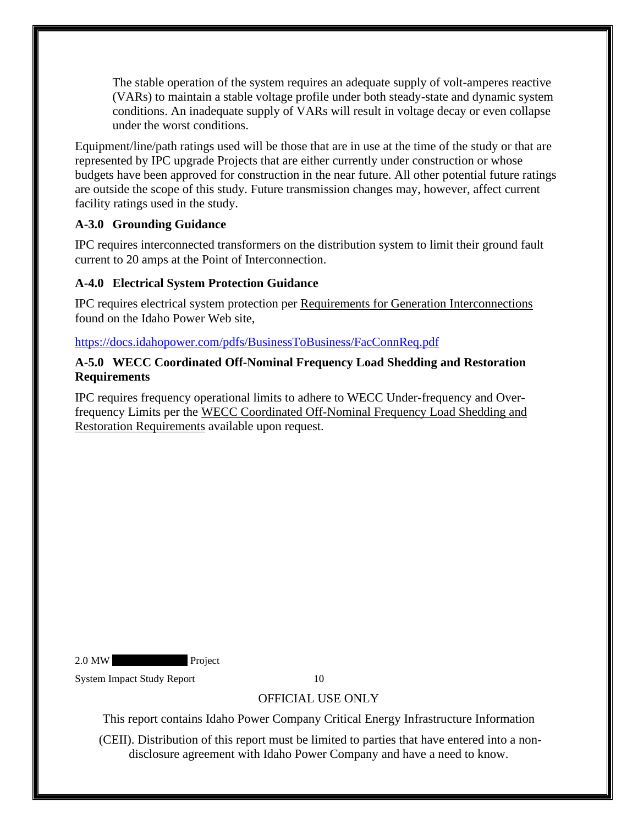The stable operation of the system requires an adequate supply of volt-amperes reactive (VARs) to maintain a stable voltage profile under both steady-state and dynamic system conditions. An inadequate supply of VARs will result in voltage decay or even collapse under the worst conditions.

Equipment/line/path ratings used will be those that are in use at the time of the study or that are represented by IPC upgrade Projects that are either currently under construction or whose budgets have been approved for construction in the near future. All other potential future ratings are outside the scope of this study. Future transmission changes may, however, affect current facility ratings used in the study.

## <span id="page-13-0"></span>**A-3.0 Grounding Guidance**

IPC requires interconnected transformers on the distribution system to limit their ground fault current to 20 amps at the Point of Interconnection.

## <span id="page-13-1"></span>**A-4.0 Electrical System Protection Guidance**

IPC requires electrical system protection per Requirements for Generation Interconnections found on the Idaho Power Web site,

## <https://docs.idahopower.com/pdfs/BusinessToBusiness/FacConnReq.pdf>

## <span id="page-13-2"></span>**A-5.0 WECC Coordinated Off-Nominal Frequency Load Shedding and Restoration Requirements**

IPC requires frequency operational limits to adhere to WECC Under-frequency and Overfrequency Limits per the WECC Coordinated Off-Nominal Frequency Load Shedding and Restoration Requirements available upon request.

2.0 MW Project

System Impact Study Report 10

# OFFICIAL USE ONLY

This report contains Idaho Power Company Critical Energy Infrastructure Information